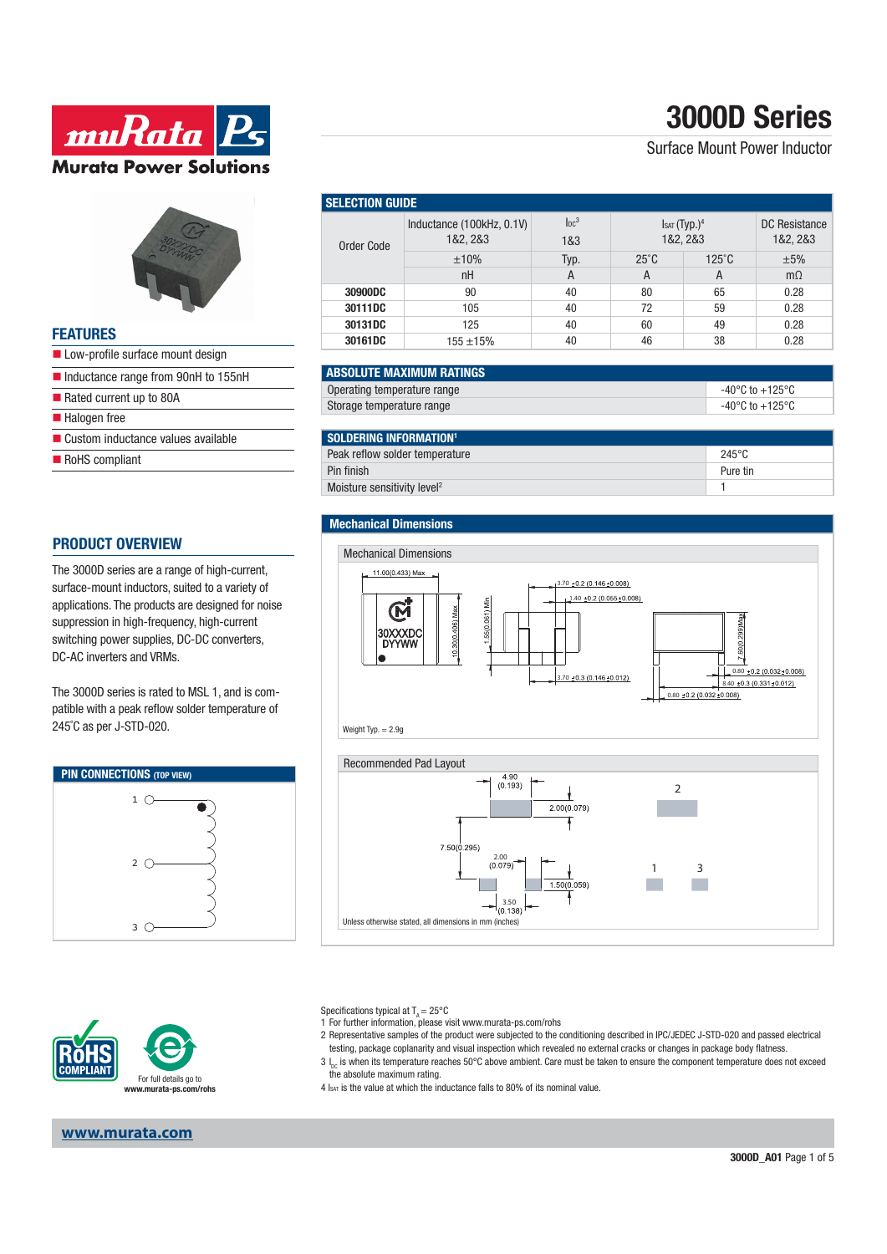# **3000D Series**

Surface Mount Power Inductor

| $5 - 7$ |  |
|---------|--|
|         |  |
|         |  |
|         |  |

**muRata** P.

**Murata Power Solutions** 

### **FEATURES**

- Low-profile surface mount design
- Inductance range from 90nH to 155nH
- $\blacksquare$  Rated current up to 80A
- **Halogen** free
- Custom inductance values available
- RoHS compliant

### **PRODUCT OVERVIEW**

The 3000D series are a range of high-current, surface-mount inductors, suited to a variety of applications. The products are designed for noise suppression in high-frequency, high-current switching power supplies, DC-DC converters, DC-AC inverters and VRMs.

The 3000D series is rated to MSL 1, and is compatible with a peak reflow solder temperature of 245˚C as per J-STD-020.







**www.murata.com**

| <b>SELECTION GUIDE</b> |                                       |                         |                                     |               |                           |  |
|------------------------|---------------------------------------|-------------------------|-------------------------------------|---------------|---------------------------|--|
| Order Code             | Inductance (100kHz, 0.1V)<br>1&2, 2&3 | Inc <sup>3</sup><br>1&3 | IsAT(Typ.) <sup>4</sup><br>1&2, 2&3 |               | DC Resistance<br>1&2, 2&3 |  |
|                        | ±10%                                  | Typ.                    | $25^{\circ}$ C                      | $125^\circ$ C | ±5%                       |  |
|                        | nH                                    | A                       | A                                   | A             | $m\Omega$                 |  |
| 30900DC                | 90                                    | 40                      | 80                                  | 65            | 0.28                      |  |
| 30111DC                | 105                                   | 40                      | 72                                  | 59            | 0.28                      |  |
| 30131DC                | 125                                   | 40                      | 60                                  | 49            | 0.28                      |  |
| 30161DC                | 155 ±15%                              | 40                      | 46                                  | 38            | 0.28                      |  |

| <b>ABSOLUTE MAXIMUM RATINGS</b> |                 |
|---------------------------------|-----------------|
| Operating temperature range     | -40°C to +125°C |
| Storage temperature range       | -40°C to +125°C |

| SOLDERING INFORMATION <sup>1</sup>      |                 |
|-----------------------------------------|-----------------|
| Peak reflow solder temperature          | $245^{\circ}$ C |
| Pin finish                              | Pure tin        |
| Moisture sensitivity level <sup>2</sup> |                 |

#### **Mechanical Dimensions**



Specifications typical at  $T_a = 25^{\circ}$ C

1 For further information, please visit www.murata-ps.com/rohs

2 Representative samples of the product were subjected to the conditioning described in IPC/JEDEC J-STD-020 and passed electrical testing, package coplanarity and visual inspection which revealed no external cracks or changes in package body flatness.

 $3 \, I_{\text{loc}}$  is when its temperature reaches 50°C above ambient. Care must be taken to ensure the component temperature does not exceed the absolute maximum rating.

 $4 \text{ kg}$  is the value at which the inductance falls to 80% of its nominal value.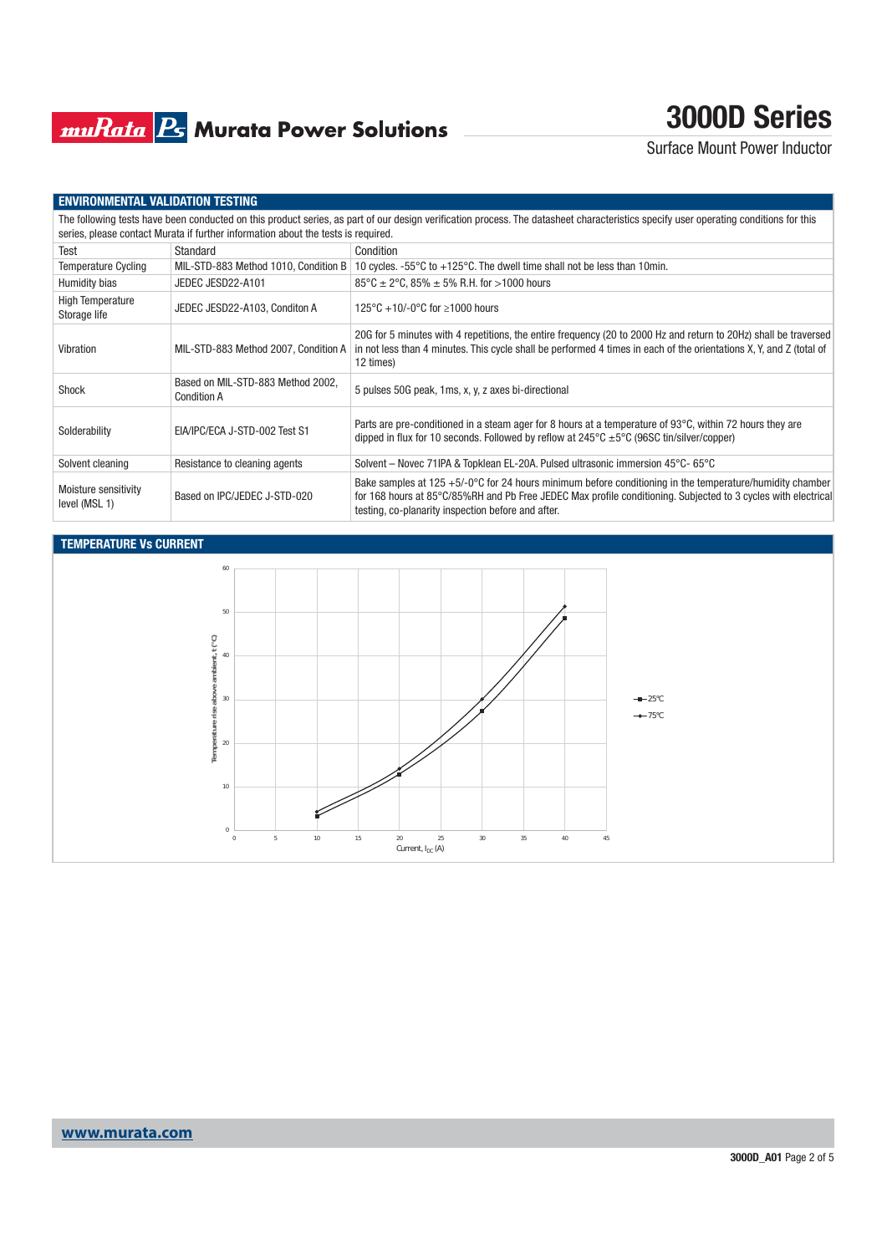## **muRata B** Murata Power Solutions

## **3000D Series**

Surface Mount Power Inductor

#### **ENVIRONMENTAL VALIDATION TESTING**

| The following tests have been conducted on this product series, as part of our design verification process. The datasheet characteristics specify user operating conditions for this<br>series, please contact Murata if further information about the tests is required. |                                                         |                                                                                                                                                                                                                                                                                     |  |  |
|---------------------------------------------------------------------------------------------------------------------------------------------------------------------------------------------------------------------------------------------------------------------------|---------------------------------------------------------|-------------------------------------------------------------------------------------------------------------------------------------------------------------------------------------------------------------------------------------------------------------------------------------|--|--|
| Test                                                                                                                                                                                                                                                                      | Standard                                                | Condition                                                                                                                                                                                                                                                                           |  |  |
| <b>Temperature Cycling</b>                                                                                                                                                                                                                                                | MIL-STD-883 Method 1010, Condition B                    | 10 cycles. $-55^{\circ}$ C to $+125^{\circ}$ C. The dwell time shall not be less than 10 min.                                                                                                                                                                                       |  |  |
| Humidity bias                                                                                                                                                                                                                                                             | JEDEC JESD22-A101                                       | $85^{\circ}$ C ± 2°C, 85% ± 5% R.H. for >1000 hours                                                                                                                                                                                                                                 |  |  |
| <b>High Temperature</b><br>Storage life                                                                                                                                                                                                                                   | JEDEC JESD22-A103, Conditon A                           | 125°C +10/-0°C for $\geq 1000$ hours                                                                                                                                                                                                                                                |  |  |
| Vibration                                                                                                                                                                                                                                                                 | MIL-STD-883 Method 2007, Condition A                    | 20G for 5 minutes with 4 repetitions, the entire frequency (20 to 2000 Hz and return to 20Hz) shall be traversed<br>in not less than 4 minutes. This cycle shall be performed 4 times in each of the orientations X, Y, and Z (total of<br>12 times)                                |  |  |
| Shock                                                                                                                                                                                                                                                                     | Based on MIL-STD-883 Method 2002,<br><b>Condition A</b> | 5 pulses 50G peak, 1ms, x, y, z axes bi-directional                                                                                                                                                                                                                                 |  |  |
| Solderability                                                                                                                                                                                                                                                             | EIA/IPC/ECA J-STD-002 Test S1                           | Parts are pre-conditioned in a steam ager for 8 hours at a temperature of 93°C, within 72 hours they are<br>dipped in flux for 10 seconds. Followed by reflow at $245^{\circ}$ C $\pm 5^{\circ}$ C (96SC tin/silver/copper)                                                         |  |  |
| Solvent cleaning                                                                                                                                                                                                                                                          | Resistance to cleaning agents                           | Solvent – Novec 71IPA & Topklean EL-20A. Pulsed ultrasonic immersion 45°C- 65°C                                                                                                                                                                                                     |  |  |
| Moisture sensitivity<br>level (MSL 1)                                                                                                                                                                                                                                     | Based on IPC/JEDEC J-STD-020                            | Bake samples at $125 + 5/-0$ °C for 24 hours minimum before conditioning in the temperature/humidity chamber<br>for 168 hours at 85°C/85%RH and Pb Free JEDEC Max profile conditioning. Subjected to 3 cycles with electrical<br>testing, co-planarity inspection before and after. |  |  |

### **TEMPERATURE Vs CURRENT**

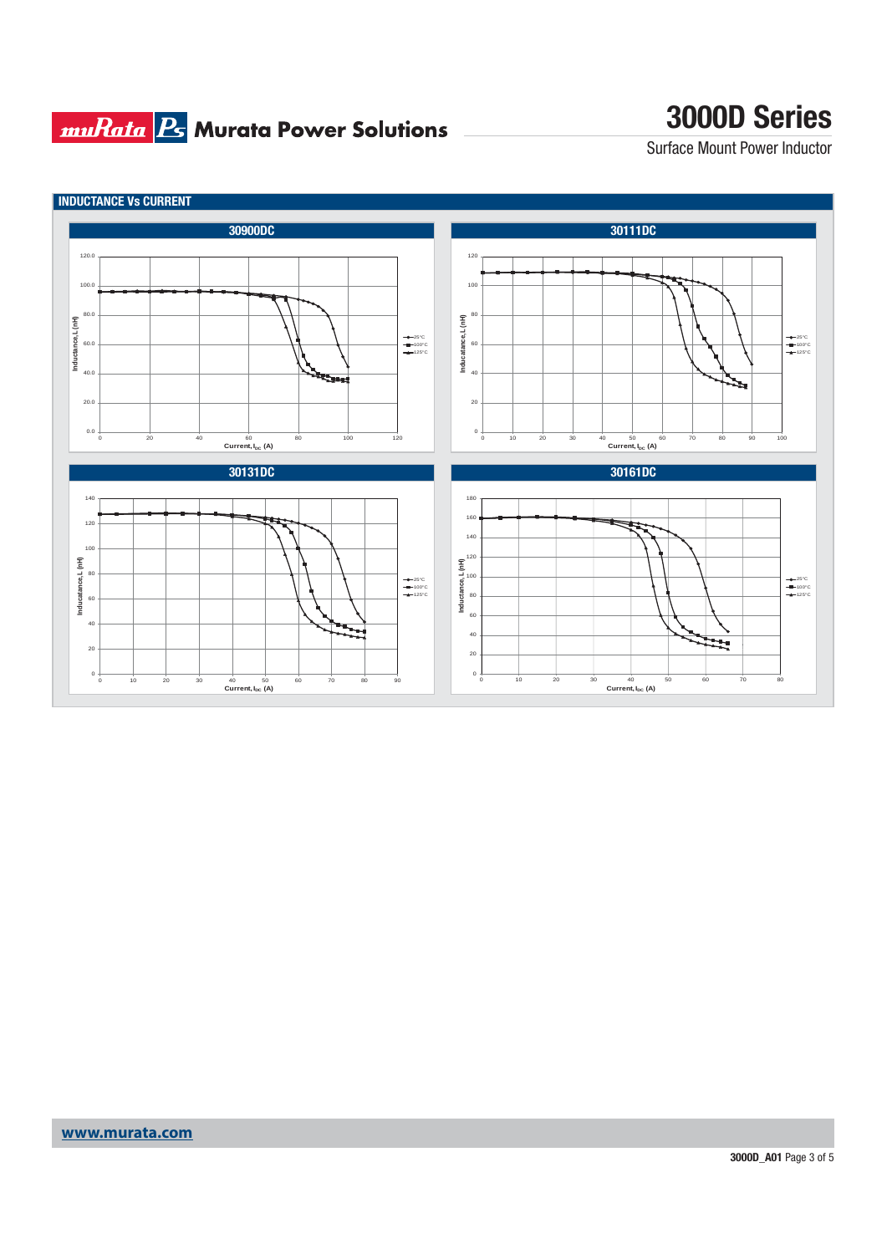## **muRata Ps** Murata Power Solutions

## **3000D Series**

Surface Mount Power Inductor

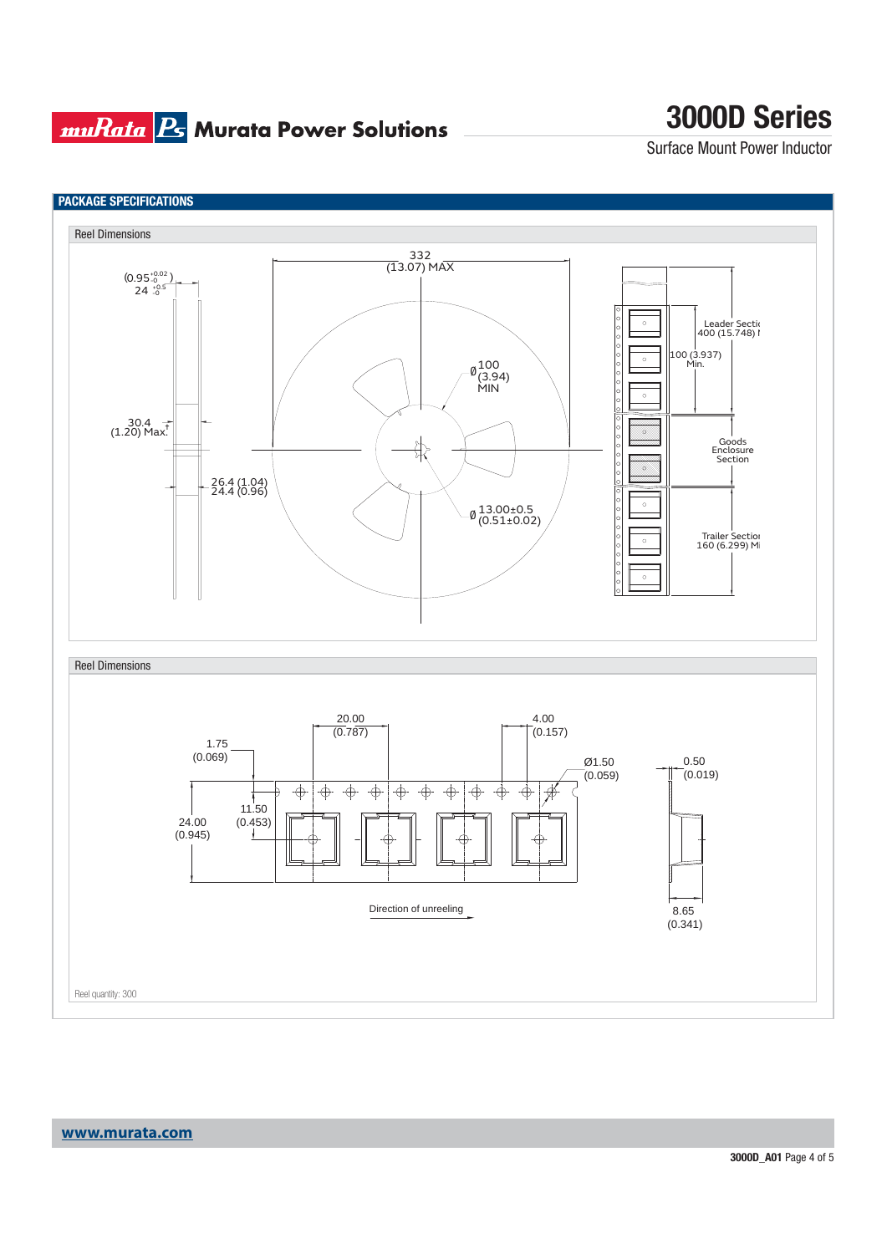### **muRata Ps** Murata Power Solutions

## **3000D Series**

Surface Mount Power Inductor